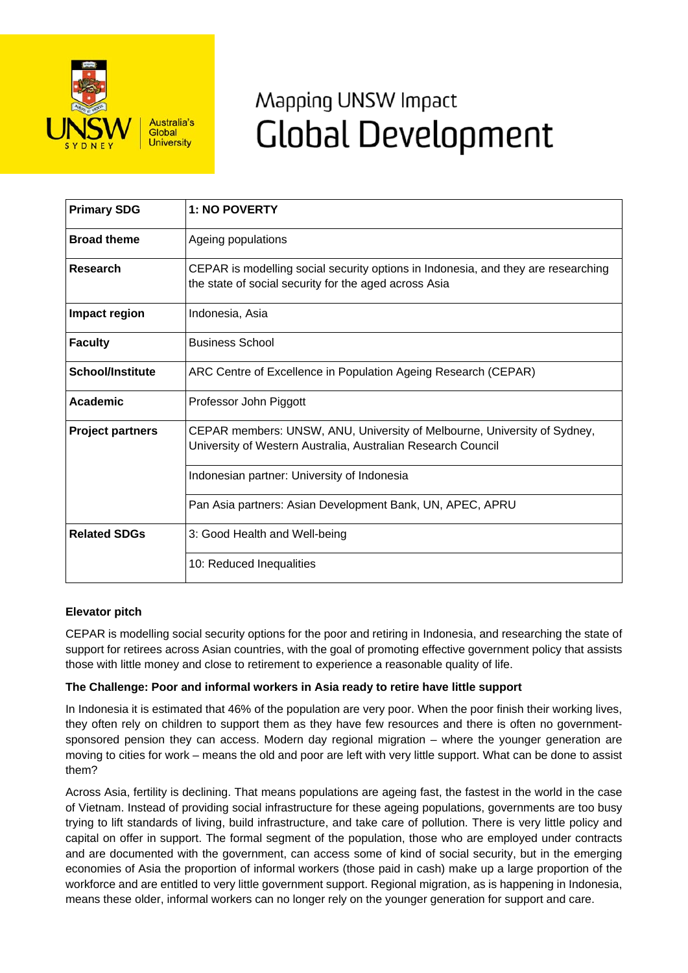

# Mapping UNSW Impact **Global Development**

| <b>Primary SDG</b>      | <b>1: NO POVERTY</b>                                                                                                                       |
|-------------------------|--------------------------------------------------------------------------------------------------------------------------------------------|
| <b>Broad theme</b>      | Ageing populations                                                                                                                         |
| <b>Research</b>         | CEPAR is modelling social security options in Indonesia, and they are researching<br>the state of social security for the aged across Asia |
| Impact region           | Indonesia, Asia                                                                                                                            |
| <b>Faculty</b>          | <b>Business School</b>                                                                                                                     |
| <b>School/Institute</b> | ARC Centre of Excellence in Population Ageing Research (CEPAR)                                                                             |
| Academic                | Professor John Piggott                                                                                                                     |
| <b>Project partners</b> | CEPAR members: UNSW, ANU, University of Melbourne, University of Sydney,<br>University of Western Australia, Australian Research Council   |
|                         | Indonesian partner: University of Indonesia                                                                                                |
|                         | Pan Asia partners: Asian Development Bank, UN, APEC, APRU                                                                                  |
| <b>Related SDGs</b>     | 3: Good Health and Well-being                                                                                                              |
|                         | 10: Reduced Inequalities                                                                                                                   |

## **Elevator pitch**

CEPAR is modelling social security options for the poor and retiring in Indonesia, and researching the state of support for retirees across Asian countries, with the goal of promoting effective government policy that assists those with little money and close to retirement to experience a reasonable quality of life.

## **The Challenge: Poor and informal workers in Asia ready to retire have little support**

In Indonesia it is estimated that 46% of the population are very poor. When the poor finish their working lives, they often rely on children to support them as they have few resources and there is often no governmentsponsored pension they can access. Modern day regional migration – where the younger generation are moving to cities for work – means the old and poor are left with very little support. What can be done to assist them?

Across Asia, fertility is declining. That means populations are ageing fast, the fastest in the world in the case of Vietnam. Instead of providing social infrastructure for these ageing populations, governments are too busy trying to lift standards of living, build infrastructure, and take care of pollution. There is very little policy and capital on offer in support. The formal segment of the population, those who are employed under contracts and are documented with the government, can access some of kind of social security, but in the emerging economies of Asia the proportion of informal workers (those paid in cash) make up a large proportion of the workforce and are entitled to very little government support. Regional migration, as is happening in Indonesia, means these older, informal workers can no longer rely on the younger generation for support and care.